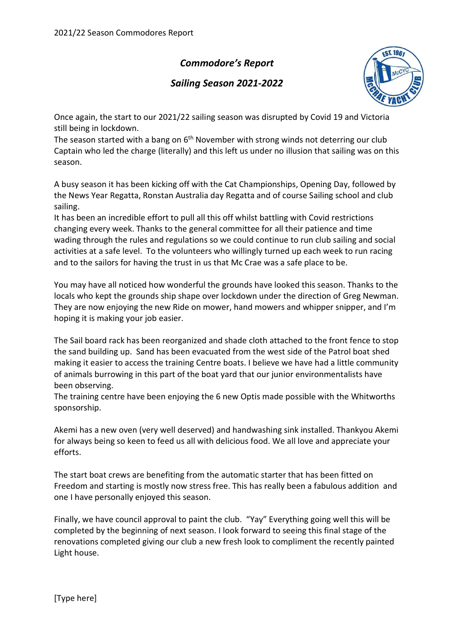## Commodore's Report

## Sailing Season 2021-2022



Once again, the start to our 2021/22 sailing season was disrupted by Covid 19 and Victoria still being in lockdown.

The season started with a bang on  $6<sup>th</sup>$  November with strong winds not deterring our club Captain who led the charge (literally) and this left us under no illusion that sailing was on this season.

A busy season it has been kicking off with the Cat Championships, Opening Day, followed by the News Year Regatta, Ronstan Australia day Regatta and of course Sailing school and club sailing.

It has been an incredible effort to pull all this off whilst battling with Covid restrictions changing every week. Thanks to the general committee for all their patience and time wading through the rules and regulations so we could continue to run club sailing and social activities at a safe level. To the volunteers who willingly turned up each week to run racing and to the sailors for having the trust in us that Mc Crae was a safe place to be.

You may have all noticed how wonderful the grounds have looked this season. Thanks to the locals who kept the grounds ship shape over lockdown under the direction of Greg Newman. They are now enjoying the new Ride on mower, hand mowers and whipper snipper, and I'm hoping it is making your job easier.

The Sail board rack has been reorganized and shade cloth attached to the front fence to stop the sand building up. Sand has been evacuated from the west side of the Patrol boat shed making it easier to access the training Centre boats. I believe we have had a little community of animals burrowing in this part of the boat yard that our junior environmentalists have been observing.

The training centre have been enjoying the 6 new Optis made possible with the Whitworths sponsorship.

Akemi has a new oven (very well deserved) and handwashing sink installed. Thankyou Akemi for always being so keen to feed us all with delicious food. We all love and appreciate your efforts.

The start boat crews are benefiting from the automatic starter that has been fitted on Freedom and starting is mostly now stress free. This has really been a fabulous addition and one I have personally enjoyed this season.

Finally, we have council approval to paint the club. "Yay" Everything going well this will be completed by the beginning of next season. I look forward to seeing this final stage of the renovations completed giving our club a new fresh look to compliment the recently painted Light house.